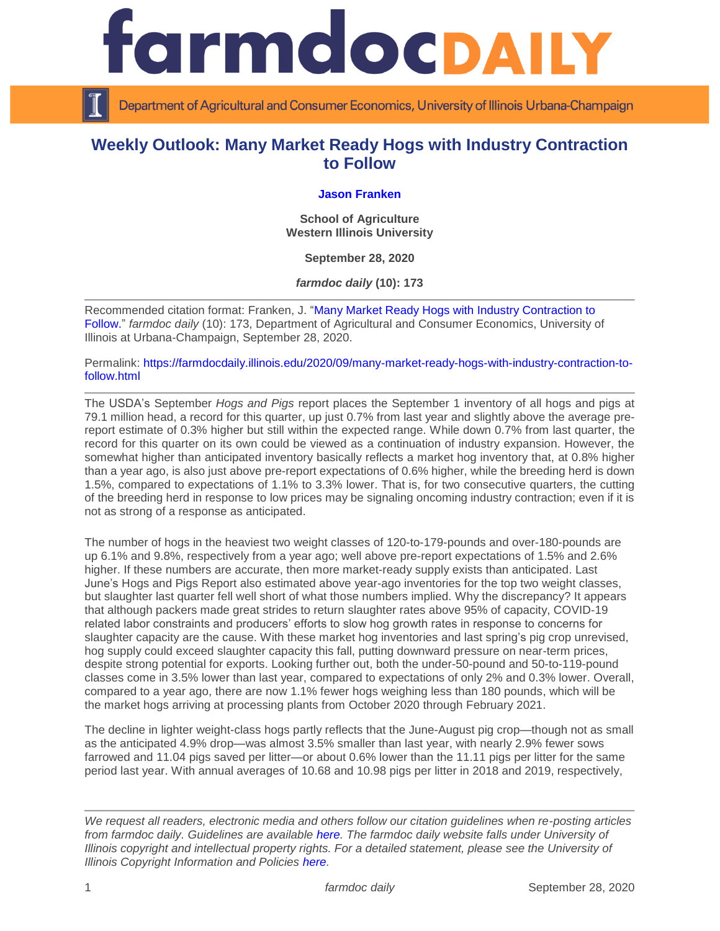

Department of Agricultural and Consumer Economics, University of Illinois Urbana-Champaign

## **Weekly Outlook: Many Market Ready Hogs with Industry Contraction to Follow**

## **[Jason Franken](http://www.wiu.edu/cbt/agriculture/faculty_staff/franken.php)**

**School of Agriculture Western Illinois University**

**September 28, 2020**

*farmdoc daily* **(10): 173**

Recommended citation format: Franken, J. ["Many Market Ready Hogs with Industry Contraction to](https://farmdocdaily.illinois.edu/2020/09/many-market-ready-hogs-with-industry-contraction-to-follow.html)  [Follow.](https://farmdocdaily.illinois.edu/2020/09/many-market-ready-hogs-with-industry-contraction-to-follow.html)" *farmdoc daily* (10): 173, Department of Agricultural and Consumer Economics, University of Illinois at Urbana-Champaign, September 28, 2020.

Permalink: [https://farmdocdaily.illinois.edu/2020/09/many-market-ready-hogs-with-industry-contraction-to](https://farmdocdaily.illinois.edu/2020/09/many-market-ready-hogs-with-industry-contraction-to-follow.html)[follow.html](https://farmdocdaily.illinois.edu/2020/09/many-market-ready-hogs-with-industry-contraction-to-follow.html)

The USDA's September *Hogs and Pigs* report places the September 1 inventory of all hogs and pigs at 79.1 million head, a record for this quarter, up just 0.7% from last year and slightly above the average prereport estimate of 0.3% higher but still within the expected range. While down 0.7% from last quarter, the record for this quarter on its own could be viewed as a continuation of industry expansion. However, the somewhat higher than anticipated inventory basically reflects a market hog inventory that, at 0.8% higher than a year ago, is also just above pre-report expectations of 0.6% higher, while the breeding herd is down 1.5%, compared to expectations of 1.1% to 3.3% lower. That is, for two consecutive quarters, the cutting of the breeding herd in response to low prices may be signaling oncoming industry contraction; even if it is not as strong of a response as anticipated.

The number of hogs in the heaviest two weight classes of 120-to-179-pounds and over-180-pounds are up 6.1% and 9.8%, respectively from a year ago; well above pre-report expectations of 1.5% and 2.6% higher. If these numbers are accurate, then more market-ready supply exists than anticipated. Last June's Hogs and Pigs Report also estimated above year-ago inventories for the top two weight classes, but slaughter last quarter fell well short of what those numbers implied. Why the discrepancy? It appears that although packers made great strides to return slaughter rates above 95% of capacity, COVID-19 related labor constraints and producers' efforts to slow hog growth rates in response to concerns for slaughter capacity are the cause. With these market hog inventories and last spring's pig crop unrevised, hog supply could exceed slaughter capacity this fall, putting downward pressure on near-term prices, despite strong potential for exports. Looking further out, both the under-50-pound and 50-to-119-pound classes come in 3.5% lower than last year, compared to expectations of only 2% and 0.3% lower. Overall, compared to a year ago, there are now 1.1% fewer hogs weighing less than 180 pounds, which will be the market hogs arriving at processing plants from October 2020 through February 2021.

The decline in lighter weight-class hogs partly reflects that the June-August pig crop—though not as small as the anticipated 4.9% drop—was almost 3.5% smaller than last year, with nearly 2.9% fewer sows farrowed and 11.04 pigs saved per litter—or about 0.6% lower than the 11.11 pigs per litter for the same period last year. With annual averages of 10.68 and 10.98 pigs per litter in 2018 and 2019, respectively,

*We request all readers, electronic media and others follow our citation guidelines when re-posting articles from farmdoc daily. Guidelines are available [here.](http://farmdocdaily.illinois.edu/citationguide.html) The farmdoc daily website falls under University of Illinois copyright and intellectual property rights. For a detailed statement, please see the University of Illinois Copyright Information and Policies [here.](http://www.cio.illinois.edu/policies/copyright/)*